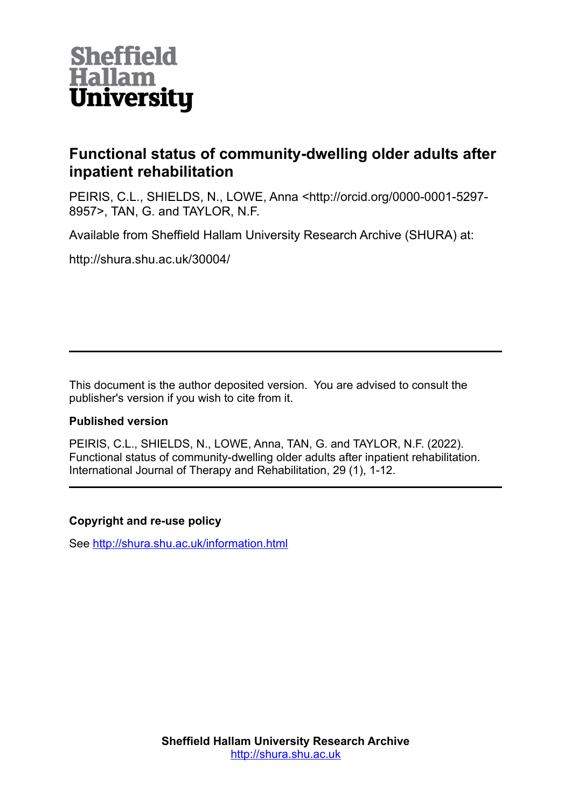

# **Functional status of community-dwelling older adults after inpatient rehabilitation**

PEIRIS, C.L., SHIELDS, N., LOWE, Anna <http://orcid.org/0000-0001-5297- 8957>, TAN, G. and TAYLOR, N.F.

Available from Sheffield Hallam University Research Archive (SHURA) at:

http://shura.shu.ac.uk/30004/

This document is the author deposited version. You are advised to consult the publisher's version if you wish to cite from it.

# **Published version**

PEIRIS, C.L., SHIELDS, N., LOWE, Anna, TAN, G. and TAYLOR, N.F. (2022). Functional status of community-dwelling older adults after inpatient rehabilitation. International Journal of Therapy and Rehabilitation, 29 (1), 1-12.

# **Copyright and re-use policy**

See<http://shura.shu.ac.uk/information.html>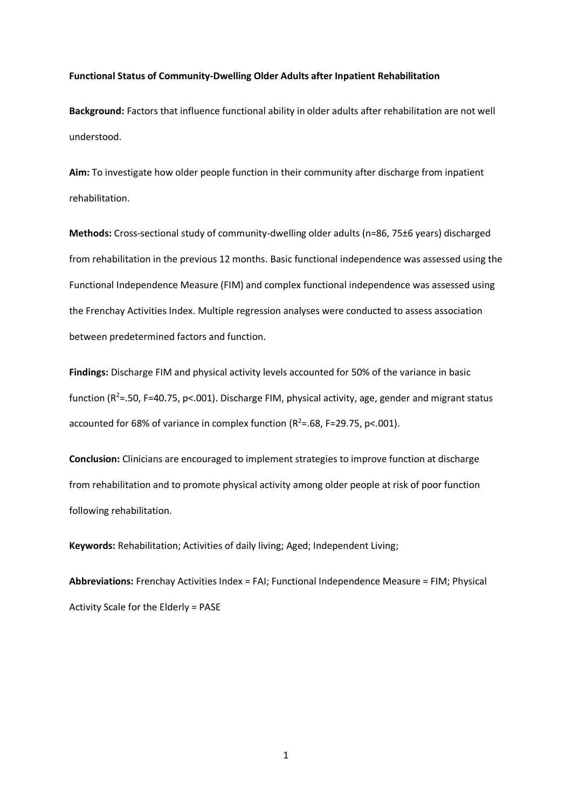### **Functional Status of Community-Dwelling Older Adults after Inpatient Rehabilitation**

**Background:** Factors that influence functional ability in older adults after rehabilitation are not well understood.

**Aim:** To investigate how older people function in their community after discharge from inpatient rehabilitation.

**Methods:** Cross-sectional study of community-dwelling older adults (n=86, 75±6 years) discharged from rehabilitation in the previous 12 months. Basic functional independence was assessed using the Functional Independence Measure (FIM) and complex functional independence was assessed using the Frenchay Activities Index. Multiple regression analyses were conducted to assess association between predetermined factors and function.

**Findings:** Discharge FIM and physical activity levels accounted for 50% of the variance in basic function ( $R^2$ =.50, F=40.75, p<.001). Discharge FIM, physical activity, age, gender and migrant status accounted for 68% of variance in complex function ( $R^2$ =.68, F=29.75, p<.001).

**Conclusion:** Clinicians are encouraged to implement strategies to improve function at discharge from rehabilitation and to promote physical activity among older people at risk of poor function following rehabilitation.

**Keywords:** Rehabilitation; Activities of daily living; Aged; Independent Living;

**Abbreviations:** Frenchay Activities Index = FAI; Functional Independence Measure = FIM; Physical Activity Scale for the Elderly = PASE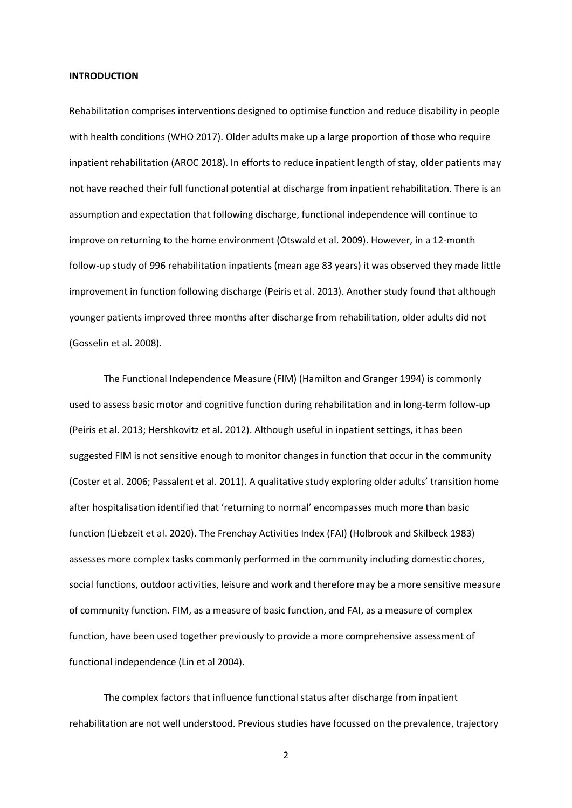#### **INTRODUCTION**

Rehabilitation comprises interventions designed to optimise function and reduce disability in people with health conditions (WHO 2017). Older adults make up a large proportion of those who require inpatient rehabilitation (AROC 2018). In efforts to reduce inpatient length of stay, older patients may not have reached their full functional potential at discharge from inpatient rehabilitation. There is an assumption and expectation that following discharge, functional independence will continue to improve on returning to the home environment (Otswald et al. 2009). However, in a 12-month follow-up study of 996 rehabilitation inpatients (mean age 83 years) it was observed they made little improvement in function following discharge (Peiris et al. 2013). Another study found that although younger patients improved three months after discharge from rehabilitation, older adults did not (Gosselin et al. 2008).

The Functional Independence Measure (FIM) (Hamilton and Granger 1994) is commonly used to assess basic motor and cognitive function during rehabilitation and in long-term follow-up (Peiris et al. 2013; Hershkovitz et al. 2012). Although useful in inpatient settings, it has been suggested FIM is not sensitive enough to monitor changes in function that occur in the community (Coster et al. 2006; Passalent et al. 2011). A qualitative study exploring older adults' transition home after hospitalisation identified that 'returning to normal' encompasses much more than basic function (Liebzeit et al. 2020). The Frenchay Activities Index (FAI) (Holbrook and Skilbeck 1983) assesses more complex tasks commonly performed in the community including domestic chores, social functions, outdoor activities, leisure and work and therefore may be a more sensitive measure of community function. FIM, as a measure of basic function, and FAI, as a measure of complex function, have been used together previously to provide a more comprehensive assessment of functional independence (Lin et al 2004).

The complex factors that influence functional status after discharge from inpatient rehabilitation are not well understood. Previous studies have focussed on the prevalence, trajectory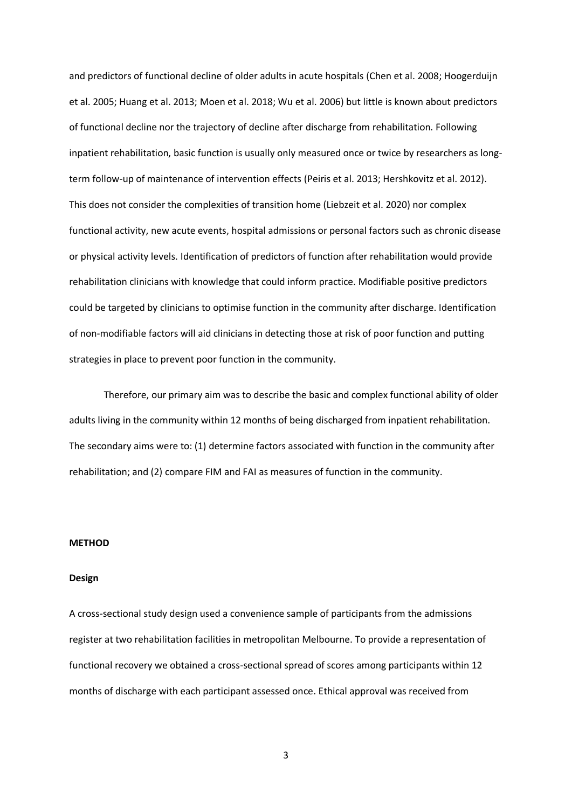and predictors of functional decline of older adults in acute hospitals (Chen et al. 2008; Hoogerduijn et al. 2005; Huang et al. 2013; Moen et al. 2018; Wu et al. 2006) but little is known about predictors of functional decline nor the trajectory of decline after discharge from rehabilitation. Following inpatient rehabilitation, basic function is usually only measured once or twice by researchers as longterm follow-up of maintenance of intervention effects (Peiris et al. 2013; Hershkovitz et al. 2012). This does not consider the complexities of transition home (Liebzeit et al. 2020) nor complex functional activity, new acute events, hospital admissions or personal factors such as chronic disease or physical activity levels. Identification of predictors of function after rehabilitation would provide rehabilitation clinicians with knowledge that could inform practice. Modifiable positive predictors could be targeted by clinicians to optimise function in the community after discharge. Identification of non-modifiable factors will aid clinicians in detecting those at risk of poor function and putting strategies in place to prevent poor function in the community.

Therefore, our primary aim was to describe the basic and complex functional ability of older adults living in the community within 12 months of being discharged from inpatient rehabilitation. The secondary aims were to: (1) determine factors associated with function in the community after rehabilitation; and (2) compare FIM and FAI as measures of function in the community.

# **METHOD**

#### **Design**

A cross-sectional study design used a convenience sample of participants from the admissions register at two rehabilitation facilities in metropolitan Melbourne. To provide a representation of functional recovery we obtained a cross-sectional spread of scores among participants within 12 months of discharge with each participant assessed once. Ethical approval was received from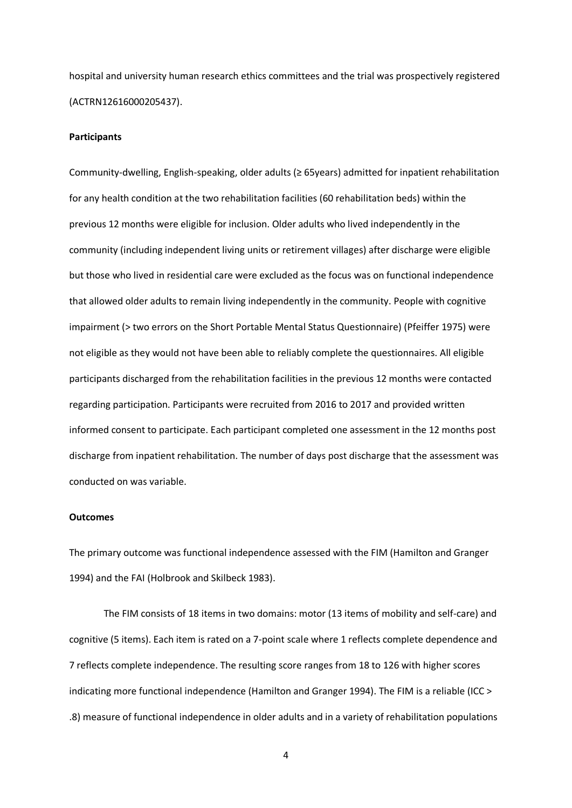hospital and university human research ethics committees and the trial was prospectively registered (ACTRN12616000205437).

## **Participants**

Community-dwelling, English-speaking, older adults (≥ 65years) admitted for inpatient rehabilitation for any health condition at the two rehabilitation facilities (60 rehabilitation beds) within the previous 12 months were eligible for inclusion. Older adults who lived independently in the community (including independent living units or retirement villages) after discharge were eligible but those who lived in residential care were excluded as the focus was on functional independence that allowed older adults to remain living independently in the community. People with cognitive impairment (> two errors on the Short Portable Mental Status Questionnaire) (Pfeiffer 1975) were not eligible as they would not have been able to reliably complete the questionnaires. All eligible participants discharged from the rehabilitation facilities in the previous 12 months were contacted regarding participation. Participants were recruited from 2016 to 2017 and provided written informed consent to participate. Each participant completed one assessment in the 12 months post discharge from inpatient rehabilitation. The number of days post discharge that the assessment was conducted on was variable.

#### **Outcomes**

The primary outcome was functional independence assessed with the FIM (Hamilton and Granger 1994) and the FAI (Holbrook and Skilbeck 1983).

The FIM consists of 18 items in two domains: motor (13 items of mobility and self-care) and cognitive (5 items). Each item is rated on a 7-point scale where 1 reflects complete dependence and 7 reflects complete independence. The resulting score ranges from 18 to 126 with higher scores indicating more functional independence (Hamilton and Granger 1994). The FIM is a reliable (ICC > .8) measure of functional independence in older adults and in a variety of rehabilitation populations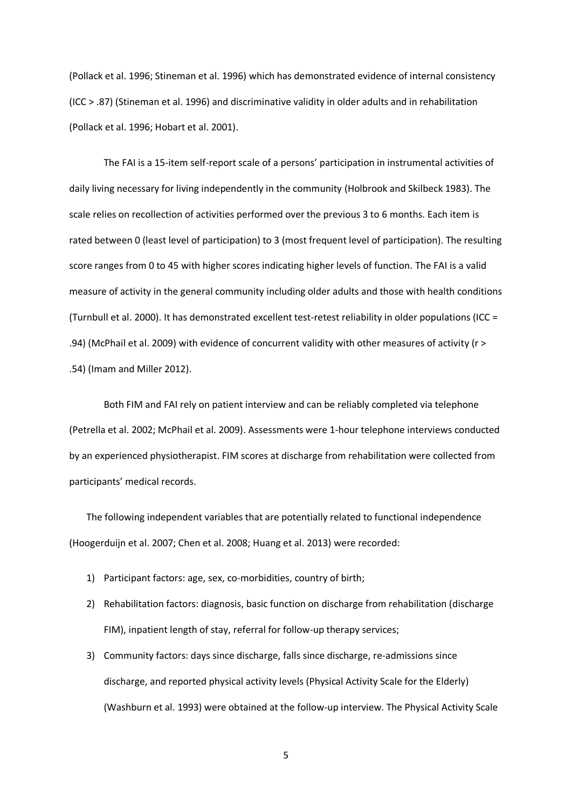(Pollack et al. 1996; Stineman et al. 1996) which has demonstrated evidence of internal consistency (ICC > .87) (Stineman et al. 1996) and discriminative validity in older adults and in rehabilitation (Pollack et al. 1996; Hobart et al. 2001).

The FAI is a 15-item self-report scale of a persons' participation in instrumental activities of daily living necessary for living independently in the community (Holbrook and Skilbeck 1983). The scale relies on recollection of activities performed over the previous 3 to 6 months. Each item is rated between 0 (least level of participation) to 3 (most frequent level of participation). The resulting score ranges from 0 to 45 with higher scores indicating higher levels of function. The FAI is a valid measure of activity in the general community including older adults and those with health conditions (Turnbull et al. 2000). It has demonstrated excellent test-retest reliability in older populations (ICC = .94) (McPhail et al. 2009) with evidence of concurrent validity with other measures of activity (r > .54) (Imam and Miller 2012).

Both FIM and FAI rely on patient interview and can be reliably completed via telephone (Petrella et al. 2002; McPhail et al. 2009). Assessments were 1-hour telephone interviews conducted by an experienced physiotherapist. FIM scores at discharge from rehabilitation were collected from participants' medical records.

The following independent variables that are potentially related to functional independence (Hoogerduijn et al. 2007; Chen et al. 2008; Huang et al. 2013) were recorded:

- 1) Participant factors: age, sex, co-morbidities, country of birth;
- 2) Rehabilitation factors: diagnosis, basic function on discharge from rehabilitation (discharge FIM), inpatient length of stay, referral for follow-up therapy services;
- 3) Community factors: days since discharge, falls since discharge, re-admissions since discharge, and reported physical activity levels (Physical Activity Scale for the Elderly) (Washburn et al. 1993) were obtained at the follow-up interview. The Physical Activity Scale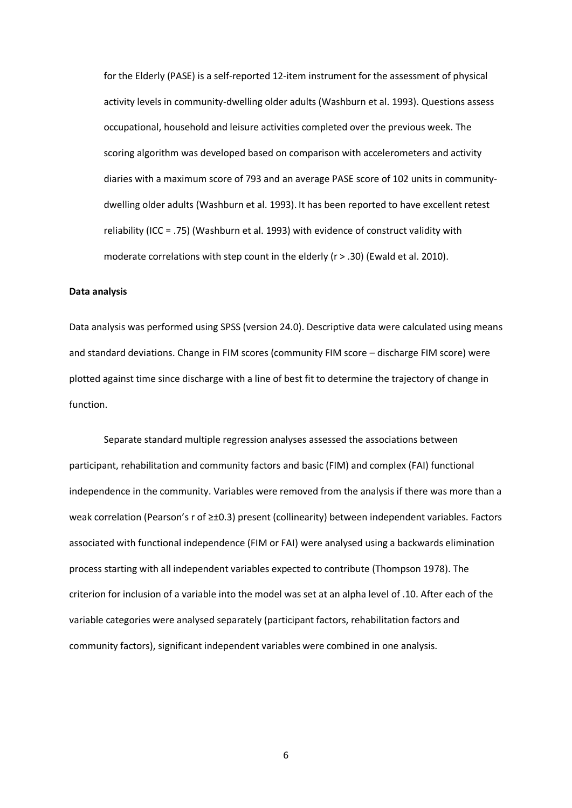for the Elderly (PASE) is a self-reported 12-item instrument for the assessment of physical activity levels in community-dwelling older adults (Washburn et al. 1993). Questions assess occupational, household and leisure activities completed over the previous week. The scoring algorithm was developed based on comparison with accelerometers and activity diaries with a maximum score of 793 and an average PASE score of 102 units in communitydwelling older adults (Washburn et al. 1993). It has been reported to have excellent retest reliability (ICC = .75) (Washburn et al. 1993) with evidence of construct validity with moderate correlations with step count in the elderly (r > .30) (Ewald et al. 2010).

# **Data analysis**

Data analysis was performed using SPSS (version 24.0). Descriptive data were calculated using means and standard deviations. Change in FIM scores (community FIM score – discharge FIM score) were plotted against time since discharge with a line of best fit to determine the trajectory of change in function.

Separate standard multiple regression analyses assessed the associations between participant, rehabilitation and community factors and basic (FIM) and complex (FAI) functional independence in the community. Variables were removed from the analysis if there was more than a weak correlation (Pearson's r of ≥±0.3) present (collinearity) between independent variables. Factors associated with functional independence (FIM or FAI) were analysed using a backwards elimination process starting with all independent variables expected to contribute (Thompson 1978). The criterion for inclusion of a variable into the model was set at an alpha level of .10. After each of the variable categories were analysed separately (participant factors, rehabilitation factors and community factors), significant independent variables were combined in one analysis.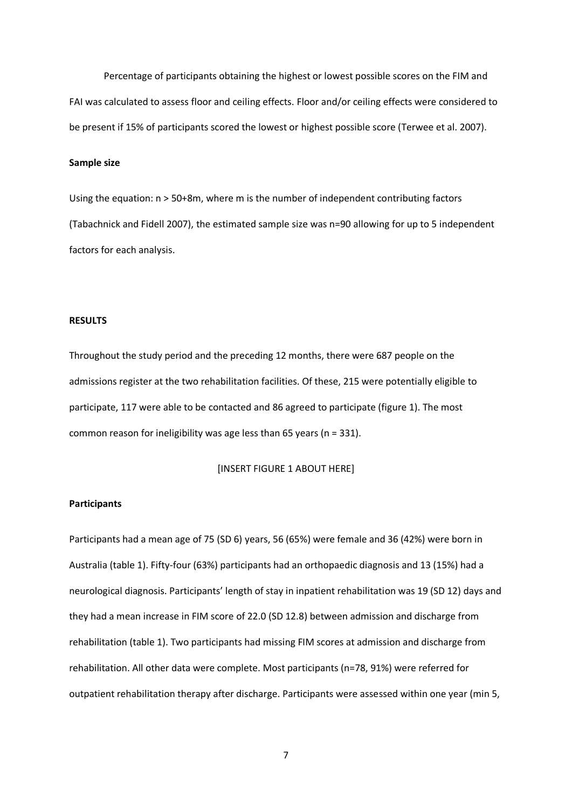Percentage of participants obtaining the highest or lowest possible scores on the FIM and FAI was calculated to assess floor and ceiling effects. Floor and/or ceiling effects were considered to be present if 15% of participants scored the lowest or highest possible score (Terwee et al. 2007).

# **Sample size**

Using the equation: n > 50+8m, where m is the number of independent contributing factors (Tabachnick and Fidell 2007), the estimated sample size was n=90 allowing for up to 5 independent factors for each analysis.

# **RESULTS**

Throughout the study period and the preceding 12 months, there were 687 people on the admissions register at the two rehabilitation facilities. Of these, 215 were potentially eligible to participate, 117 were able to be contacted and 86 agreed to participate (figure 1). The most common reason for ineligibility was age less than 65 years (n = 331).

[INSERT FIGURE 1 ABOUT HERE]

# **Participants**

Participants had a mean age of 75 (SD 6) years, 56 (65%) were female and 36 (42%) were born in Australia (table 1). Fifty-four (63%) participants had an orthopaedic diagnosis and 13 (15%) had a neurological diagnosis. Participants' length of stay in inpatient rehabilitation was 19 (SD 12) days and they had a mean increase in FIM score of 22.0 (SD 12.8) between admission and discharge from rehabilitation (table 1). Two participants had missing FIM scores at admission and discharge from rehabilitation. All other data were complete. Most participants (n=78, 91%) were referred for outpatient rehabilitation therapy after discharge. Participants were assessed within one year (min 5,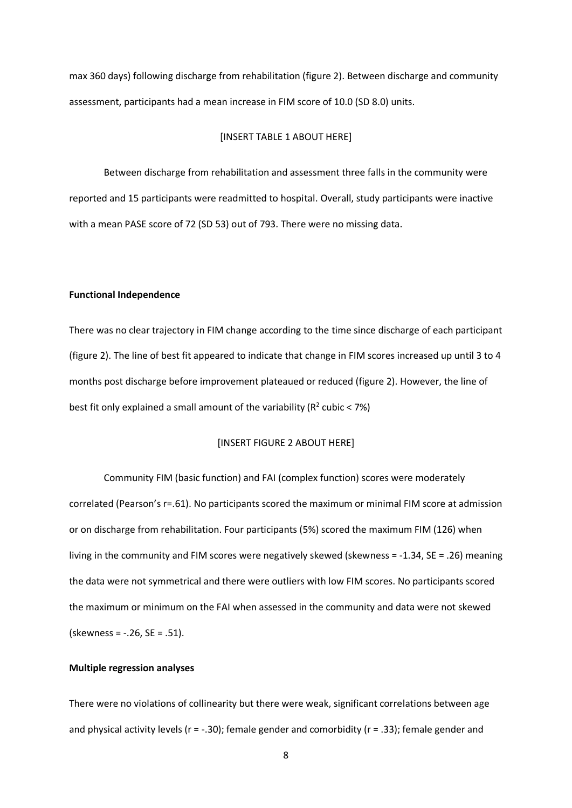max 360 days) following discharge from rehabilitation (figure 2). Between discharge and community assessment, participants had a mean increase in FIM score of 10.0 (SD 8.0) units.

#### [INSERT TABLE 1 ABOUT HERE]

Between discharge from rehabilitation and assessment three falls in the community were reported and 15 participants were readmitted to hospital. Overall, study participants were inactive with a mean PASE score of 72 (SD 53) out of 793. There were no missing data.

#### **Functional Independence**

There was no clear trajectory in FIM change according to the time since discharge of each participant (figure 2). The line of best fit appeared to indicate that change in FIM scores increased up until 3 to 4 months post discharge before improvement plateaued or reduced (figure 2). However, the line of best fit only explained a small amount of the variability ( $R^2$  cubic < 7%)

# [INSERT FIGURE 2 ABOUT HERE]

Community FIM (basic function) and FAI (complex function) scores were moderately correlated (Pearson's r=.61). No participants scored the maximum or minimal FIM score at admission or on discharge from rehabilitation. Four participants (5%) scored the maximum FIM (126) when living in the community and FIM scores were negatively skewed (skewness = -1.34, SE = .26) meaning the data were not symmetrical and there were outliers with low FIM scores. No participants scored the maximum or minimum on the FAI when assessed in the community and data were not skewed (skewness = -.26, SE = .51).

# **Multiple regression analyses**

There were no violations of collinearity but there were weak, significant correlations between age and physical activity levels (r = -.30); female gender and comorbidity (r = .33); female gender and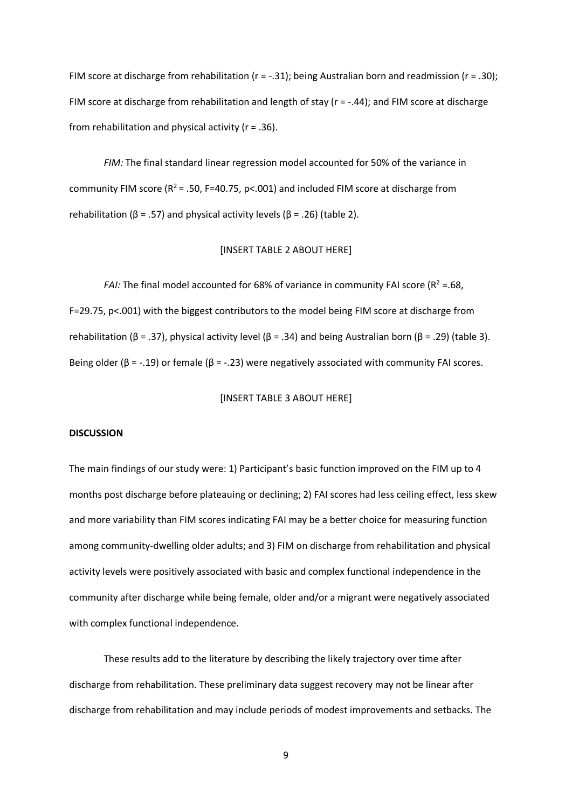FIM score at discharge from rehabilitation ( $r = -.31$ ); being Australian born and readmission ( $r = .30$ ); FIM score at discharge from rehabilitation and length of stay ( $r = -.44$ ); and FIM score at discharge from rehabilitation and physical activity ( $r = .36$ ).

*FIM:* The final standard linear regression model accounted for 50% of the variance in community FIM score ( $R^2$  = .50, F=40.75, p<.001) and included FIM score at discharge from rehabilitation (β = .57) and physical activity levels (β = .26) (table 2).

# [INSERT TABLE 2 ABOUT HERE]

*FAI:* The final model accounted for 68% of variance in community FAI score ( $R^2 = .68$ , F=29.75, p<.001) with the biggest contributors to the model being FIM score at discharge from rehabilitation (β = .37), physical activity level (β = .34) and being Australian born (β = .29) (table 3). Being older (β = -.19) or female (β = -.23) were negatively associated with community FAI scores.

# [INSERT TABLE 3 ABOUT HERE]

#### **DISCUSSION**

The main findings of our study were: 1) Participant's basic function improved on the FIM up to 4 months post discharge before plateauing or declining; 2) FAI scores had less ceiling effect, less skew and more variability than FIM scores indicating FAI may be a better choice for measuring function among community-dwelling older adults; and 3) FIM on discharge from rehabilitation and physical activity levels were positively associated with basic and complex functional independence in the community after discharge while being female, older and/or a migrant were negatively associated with complex functional independence.

These results add to the literature by describing the likely trajectory over time after discharge from rehabilitation. These preliminary data suggest recovery may not be linear after discharge from rehabilitation and may include periods of modest improvements and setbacks. The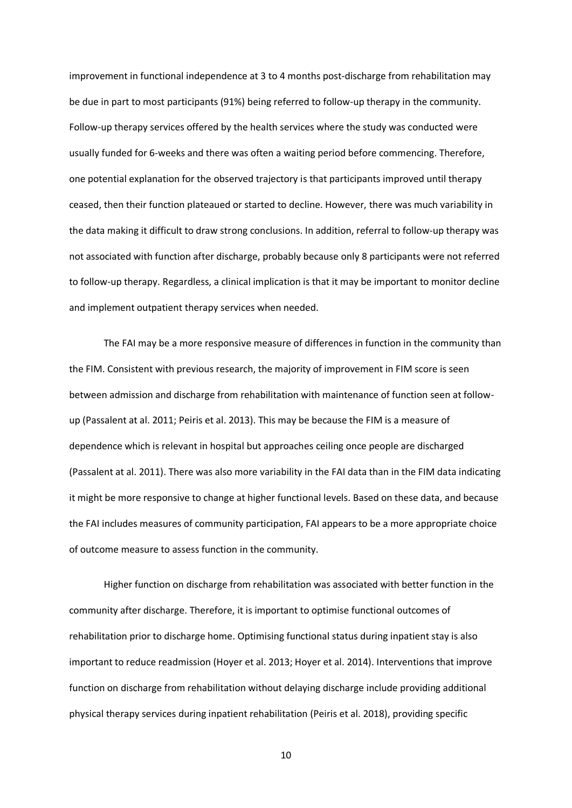improvement in functional independence at 3 to 4 months post-discharge from rehabilitation may be due in part to most participants (91%) being referred to follow-up therapy in the community. Follow-up therapy services offered by the health services where the study was conducted were usually funded for 6-weeks and there was often a waiting period before commencing. Therefore, one potential explanation for the observed trajectory is that participants improved until therapy ceased, then their function plateaued or started to decline. However, there was much variability in the data making it difficult to draw strong conclusions. In addition, referral to follow-up therapy was not associated with function after discharge, probably because only 8 participants were not referred to follow-up therapy. Regardless, a clinical implication is that it may be important to monitor decline and implement outpatient therapy services when needed.

The FAI may be a more responsive measure of differences in function in the community than the FIM. Consistent with previous research, the majority of improvement in FIM score is seen between admission and discharge from rehabilitation with maintenance of function seen at followup (Passalent at al. 2011; Peiris et al. 2013). This may be because the FIM is a measure of dependence which is relevant in hospital but approaches ceiling once people are discharged (Passalent at al. 2011). There was also more variability in the FAI data than in the FIM data indicating it might be more responsive to change at higher functional levels. Based on these data, and because the FAI includes measures of community participation, FAI appears to be a more appropriate choice of outcome measure to assess function in the community.

Higher function on discharge from rehabilitation was associated with better function in the community after discharge. Therefore, it is important to optimise functional outcomes of rehabilitation prior to discharge home. Optimising functional status during inpatient stay is also important to reduce readmission (Hoyer et al. 2013; Hoyer et al. 2014). Interventions that improve function on discharge from rehabilitation without delaying discharge include providing additional physical therapy services during inpatient rehabilitation (Peiris et al. 2018), providing specific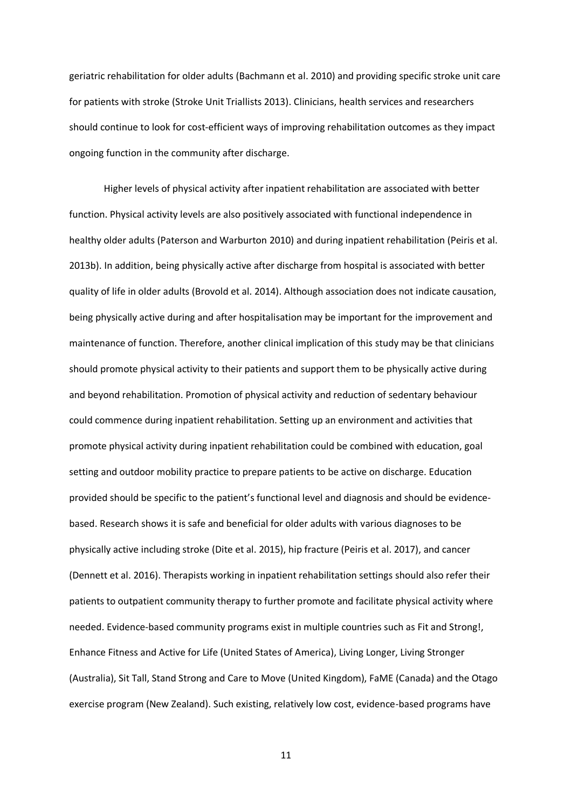geriatric rehabilitation for older adults (Bachmann et al. 2010) and providing specific stroke unit care for patients with stroke (Stroke Unit Triallists 2013). Clinicians, health services and researchers should continue to look for cost-efficient ways of improving rehabilitation outcomes as they impact ongoing function in the community after discharge.

Higher levels of physical activity after inpatient rehabilitation are associated with better function. Physical activity levels are also positively associated with functional independence in healthy older adults (Paterson and Warburton 2010) and during inpatient rehabilitation (Peiris et al. 2013b). In addition, being physically active after discharge from hospital is associated with better quality of life in older adults (Brovold et al. 2014). Although association does not indicate causation, being physically active during and after hospitalisation may be important for the improvement and maintenance of function. Therefore, another clinical implication of this study may be that clinicians should promote physical activity to their patients and support them to be physically active during and beyond rehabilitation. Promotion of physical activity and reduction of sedentary behaviour could commence during inpatient rehabilitation. Setting up an environment and activities that promote physical activity during inpatient rehabilitation could be combined with education, goal setting and outdoor mobility practice to prepare patients to be active on discharge. Education provided should be specific to the patient's functional level and diagnosis and should be evidencebased. Research shows it is safe and beneficial for older adults with various diagnoses to be physically active including stroke (Dite et al. 2015), hip fracture (Peiris et al. 2017), and cancer (Dennett et al. 2016). Therapists working in inpatient rehabilitation settings should also refer their patients to outpatient community therapy to further promote and facilitate physical activity where needed. Evidence-based community programs exist in multiple countries such as Fit and Strong!, Enhance Fitness and Active for Life (United States of America), Living Longer, Living Stronger (Australia), Sit Tall, Stand Strong and Care to Move (United Kingdom), FaME (Canada) and the Otago exercise program (New Zealand). Such existing, relatively low cost, evidence-based programs have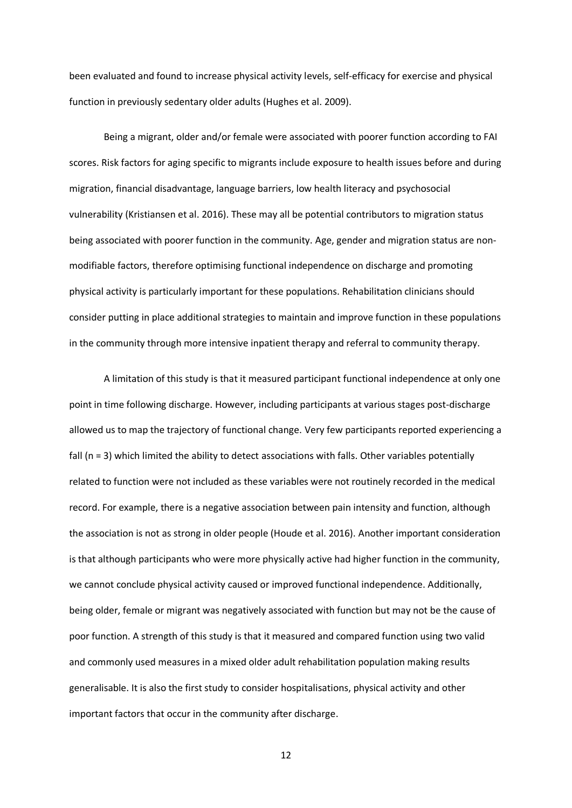been evaluated and found to increase physical activity levels, self-efficacy for exercise and physical function in previously sedentary older adults (Hughes et al. 2009).

Being a migrant, older and/or female were associated with poorer function according to FAI scores. Risk factors for aging specific to migrants include exposure to health issues before and during migration, financial disadvantage, language barriers, low health literacy and psychosocial vulnerability (Kristiansen et al. 2016). These may all be potential contributors to migration status being associated with poorer function in the community. Age, gender and migration status are nonmodifiable factors, therefore optimising functional independence on discharge and promoting physical activity is particularly important for these populations. Rehabilitation clinicians should consider putting in place additional strategies to maintain and improve function in these populations in the community through more intensive inpatient therapy and referral to community therapy.

A limitation of this study is that it measured participant functional independence at only one point in time following discharge. However, including participants at various stages post-discharge allowed us to map the trajectory of functional change. Very few participants reported experiencing a fall (n = 3) which limited the ability to detect associations with falls. Other variables potentially related to function were not included as these variables were not routinely recorded in the medical record. For example, there is a negative association between pain intensity and function, although the association is not as strong in older people (Houde et al. 2016). Another important consideration is that although participants who were more physically active had higher function in the community, we cannot conclude physical activity caused or improved functional independence. Additionally, being older, female or migrant was negatively associated with function but may not be the cause of poor function. A strength of this study is that it measured and compared function using two valid and commonly used measures in a mixed older adult rehabilitation population making results generalisable. It is also the first study to consider hospitalisations, physical activity and other important factors that occur in the community after discharge.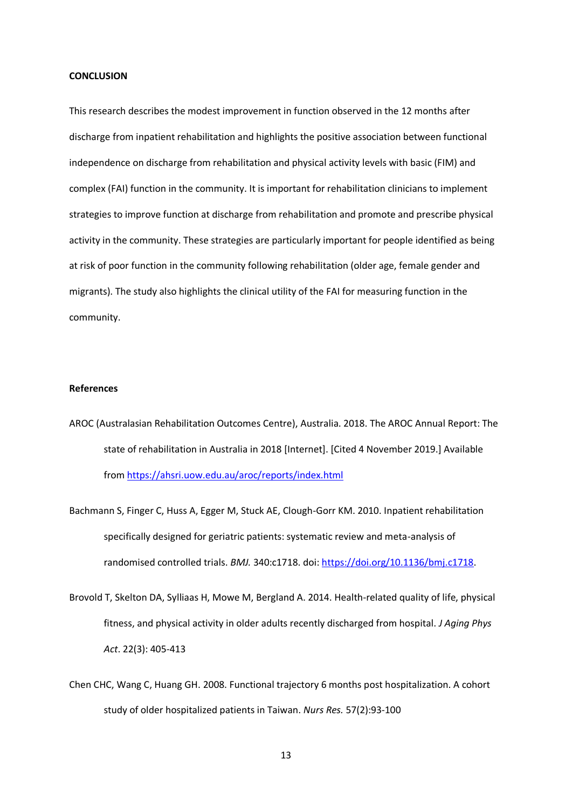# **CONCLUSION**

This research describes the modest improvement in function observed in the 12 months after discharge from inpatient rehabilitation and highlights the positive association between functional independence on discharge from rehabilitation and physical activity levels with basic (FIM) and complex (FAI) function in the community. It is important for rehabilitation clinicians to implement strategies to improve function at discharge from rehabilitation and promote and prescribe physical activity in the community. These strategies are particularly important for people identified as being at risk of poor function in the community following rehabilitation (older age, female gender and migrants). The study also highlights the clinical utility of the FAI for measuring function in the community.

# **References**

- AROC (Australasian Rehabilitation Outcomes Centre), Australia. 2018. The AROC Annual Report: The state of rehabilitation in Australia in 2018 [Internet]. [Cited 4 November 2019.] Available from <https://ahsri.uow.edu.au/aroc/reports/index.html>
- Bachmann S, Finger C, Huss A, Egger M, Stuck AE, Clough-Gorr KM. 2010. Inpatient rehabilitation specifically designed for geriatric patients: systematic review and meta-analysis of randomised controlled trials. *BMJ.* 340:c1718. doi: [https://doi.org/10.1136/bmj.c1718.](https://doi.org/10.1136/bmj.c1718)
- Brovold T, Skelton DA, Sylliaas H, Mowe M, Bergland A. 2014. Health-related quality of life, physical fitness, and physical activity in older adults recently discharged from hospital. *J Aging Phys Act*. 22(3): 405-413
- Chen CHC, Wang C, Huang GH. 2008. Functional trajectory 6 months post hospitalization. A cohort study of older hospitalized patients in Taiwan. *Nurs Res.* 57(2):93-100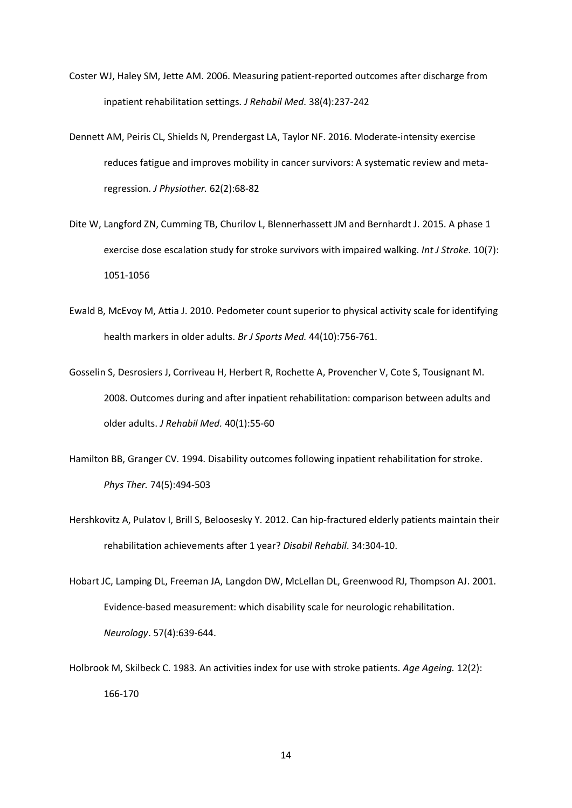- Coster WJ, Haley SM, Jette AM. 2006. Measuring patient-reported outcomes after discharge from inpatient rehabilitation settings. *J Rehabil Med.* 38(4):237-242
- Dennett AM, Peiris CL, Shields N, Prendergast LA, Taylor NF. 2016. Moderate-intensity exercise reduces fatigue and improves mobility in cancer survivors: A systematic review and metaregression. *J Physiother.* 62(2):68-82
- Dite W, Langford ZN, Cumming TB, Churilov L, Blennerhassett JM and Bernhardt J. 2015. A phase 1 exercise dose escalation study for stroke survivors with impaired walking. *Int J Stroke.* 10(7): 1051-1056
- Ewald B, McEvoy M, Attia J. 2010. Pedometer count superior to physical activity scale for identifying health markers in older adults. *Br J Sports Med.* 44(10):756-761.
- Gosselin S, Desrosiers J, Corriveau H, Herbert R, Rochette A, Provencher V, Cote S, Tousignant M. 2008. Outcomes during and after inpatient rehabilitation: comparison between adults and older adults. *J Rehabil Med.* 40(1):55-60
- Hamilton BB, Granger CV. 1994. Disability outcomes following inpatient rehabilitation for stroke*. Phys Ther.* 74(5):494-503
- Hershkovitz A, Pulatov I, Brill S, Beloosesky Y. 2012. Can hip-fractured elderly patients maintain their rehabilitation achievements after 1 year? *Disabil Rehabil*. 34:304-10.
- Hobart JC, Lamping DL, Freeman JA, Langdon DW, McLellan DL, Greenwood RJ, Thompson AJ. 2001. Evidence-based measurement: which disability scale for neurologic rehabilitation. *Neurology*. 57(4):639-644.
- Holbrook M, Skilbeck C. 1983. An activities index for use with stroke patients. *Age Ageing.* 12(2): 166-170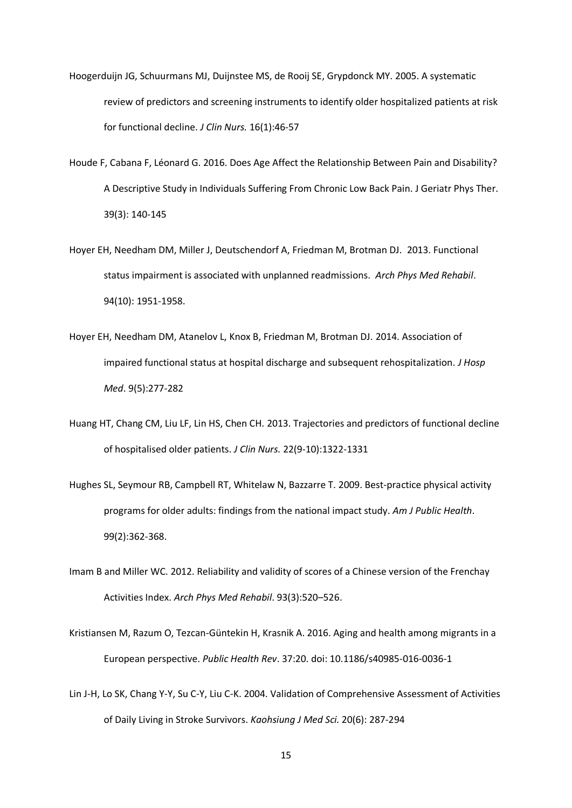- Hoogerduijn JG, Schuurmans MJ, Duijnstee MS, de Rooij SE, Grypdonck MY. 2005. A systematic review of predictors and screening instruments to identify older hospitalized patients at risk for functional decline. *J Clin Nurs.* 16(1):46-57
- Houde F, Cabana F, Léonard G. 2016. Does Age Affect the Relationship Between Pain and Disability? A Descriptive Study in Individuals Suffering From Chronic Low Back Pain. J Geriatr Phys Ther. 39(3): 140-145
- Hoyer EH, Needham DM, Miller J, Deutschendorf A, Friedman M, Brotman DJ. 2013. Functional status impairment is associated with unplanned readmissions. *Arch Phys Med Rehabil*. 94(10): 1951-1958.
- Hoyer EH, Needham DM, Atanelov L, Knox B, Friedman M, Brotman DJ. 2014. Association of impaired functional status at hospital discharge and subsequent rehospitalization. *J Hosp Med*. 9(5):277-282
- Huang HT, Chang CM, Liu LF, Lin HS, Chen CH. 2013. Trajectories and predictors of functional decline of hospitalised older patients. *J Clin Nurs.* 22(9-10):1322-1331
- Hughes SL, Seymour RB, Campbell RT, Whitelaw N, Bazzarre T. 2009. Best-practice physical activity programs for older adults: findings from the national impact study. *Am J Public Health*. 99(2):362-368.
- Imam B and Miller WC. 2012. Reliability and validity of scores of a Chinese version of the Frenchay Activities Index. *Arch Phys Med Rehabil*. 93(3):520–526.
- Kristiansen M, Razum O, Tezcan-Güntekin H, Krasnik A. 2016. Aging and health among migrants in a European perspective. *Public Health Rev*. 37:20. doi: 10.1186/s40985-016-0036-1
- Lin J-H, Lo SK, Chang Y-Y, Su C-Y, Liu C-K. 2004. Validation of Comprehensive Assessment of Activities of Daily Living in Stroke Survivors. *Kaohsiung J Med Sci.* 20(6): 287-294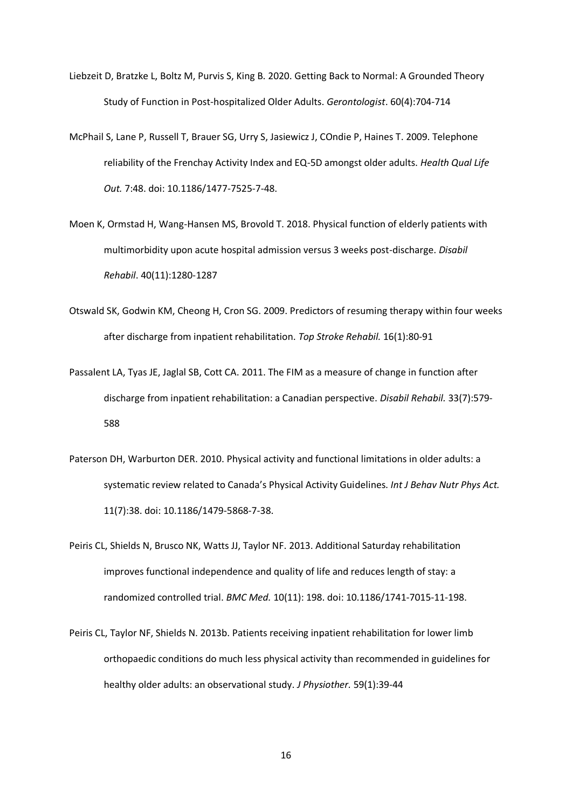- Liebzeit D, Bratzke L, Boltz M, Purvis S, King B. 2020. Getting Back to Normal: A Grounded Theory Study of Function in Post-hospitalized Older Adults. *Gerontologist*. 60(4):704-714
- McPhail S, Lane P, Russell T, Brauer SG, Urry S, Jasiewicz J, COndie P, Haines T. 2009. Telephone reliability of the Frenchay Activity Index and EQ-5D amongst older adults. *Health Qual Life Out.* 7:48. doi: 10.1186/1477-7525-7-48.
- Moen K, Ormstad H, Wang-Hansen MS, Brovold T. 2018. Physical function of elderly patients with multimorbidity upon acute hospital admission versus 3 weeks post-discharge. *Disabil Rehabil*. 40(11):1280-1287
- Otswald SK, Godwin KM, Cheong H, Cron SG. 2009. Predictors of resuming therapy within four weeks after discharge from inpatient rehabilitation. *Top Stroke Rehabil.* 16(1):80-91
- Passalent LA, Tyas JE, Jaglal SB, Cott CA. 2011. The FIM as a measure of change in function after discharge from inpatient rehabilitation: a Canadian perspective. *Disabil Rehabil.* 33(7):579- 588
- Paterson DH, Warburton DER. 2010. Physical activity and functional limitations in older adults: a systematic review related to Canada's Physical Activity Guidelines. *Int J Behav Nutr Phys Act.* 11(7):38. doi: 10.1186/1479-5868-7-38.
- Peiris CL, Shields N, Brusco NK, Watts JJ, Taylor NF. 2013. Additional Saturday rehabilitation improves functional independence and quality of life and reduces length of stay: a randomized controlled trial. *BMC Med.* 10(11): 198. doi: 10.1186/1741-7015-11-198.
- Peiris CL, Taylor NF, Shields N. 2013b. Patients receiving inpatient rehabilitation for lower limb orthopaedic conditions do much less physical activity than recommended in guidelines for healthy older adults: an observational study. *J Physiother.* 59(1):39-44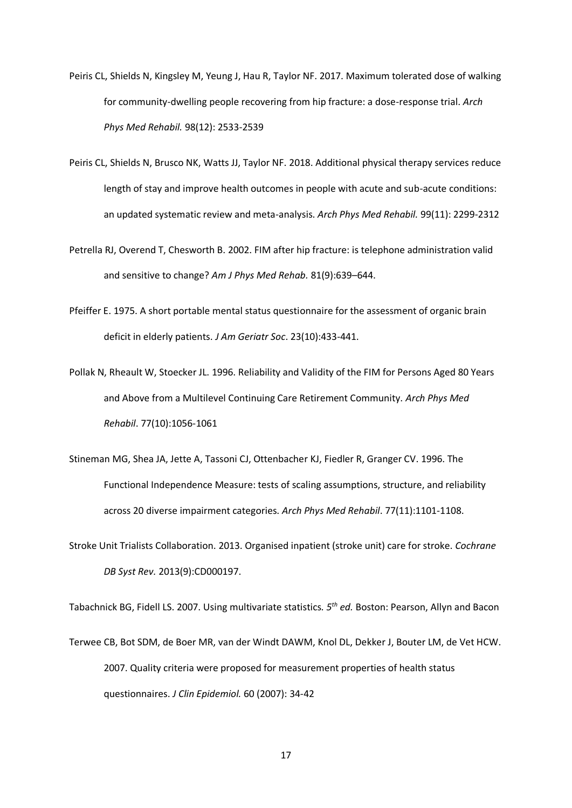- Peiris CL, Shields N, Kingsley M, Yeung J, Hau R, Taylor NF. 2017. Maximum tolerated dose of walking for community-dwelling people recovering from hip fracture: a dose-response trial. *Arch Phys Med Rehabil.* 98(12): 2533-2539
- Peiris CL, Shields N, Brusco NK, Watts JJ, Taylor NF. 2018. Additional physical therapy services reduce length of stay and improve health outcomes in people with acute and sub-acute conditions: an updated systematic review and meta-analysis. *Arch Phys Med Rehabil.* 99(11): 2299-2312
- Petrella RJ, Overend T, Chesworth B. 2002. FIM after hip fracture: is telephone administration valid and sensitive to change? *Am J Phys Med Rehab.* 81(9):639–644.
- Pfeiffer E. 1975. A short portable mental status questionnaire for the assessment of organic brain deficit in elderly patients. *J Am Geriatr Soc*. 23(10):433-441.
- Pollak N, Rheault W, Stoecker JL. 1996. Reliability and Validity of the FIM for Persons Aged 80 Years and Above from a Multilevel Continuing Care Retirement Community. *Arch Phys Med Rehabil*. 77(10):1056-1061
- Stineman MG, Shea JA, Jette A, Tassoni CJ, Ottenbacher KJ, Fiedler R, Granger CV. 1996. The Functional Independence Measure: tests of scaling assumptions, structure, and reliability across 20 diverse impairment categories. *Arch Phys Med Rehabil*. 77(11):1101-1108.
- Stroke Unit Trialists Collaboration. 2013. Organised inpatient (stroke unit) care for stroke. *Cochrane DB Syst Rev.* 2013(9):CD000197.

Tabachnick BG, Fidell LS. 2007. Using multivariate statistics*. 5th ed.* Boston: Pearson, Allyn and Bacon

Terwee CB, Bot SDM, de Boer MR, van der Windt DAWM, Knol DL, Dekker J, Bouter LM, de Vet HCW. 2007. Quality criteria were proposed for measurement properties of health status questionnaires. *J Clin Epidemiol.* 60 (2007): 34-42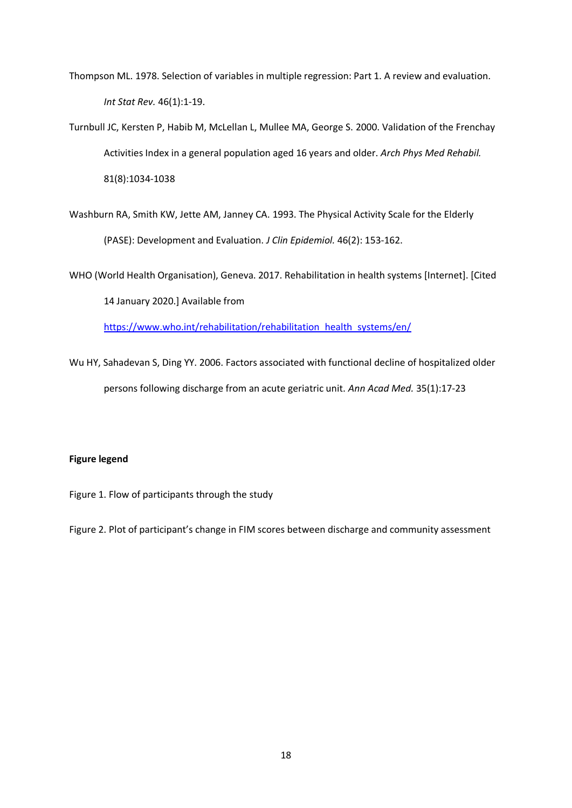- Thompson ML. 1978. Selection of variables in multiple regression: Part 1. A review and evaluation. *Int Stat Rev.* 46(1):1-19.
- Turnbull JC, Kersten P, Habib M, McLellan L, Mullee MA, George S. 2000. Validation of the Frenchay Activities Index in a general population aged 16 years and older. *Arch Phys Med Rehabil.* 81(8):1034-1038
- Washburn RA, Smith KW, Jette AM, Janney CA. 1993. The Physical Activity Scale for the Elderly (PASE): Development and Evaluation. *J Clin Epidemiol.* 46(2): 153-162.

WHO (World Health Organisation), Geneva. 2017. Rehabilitation in health systems [Internet]. [Cited 14 January 2020.] Available from

[https://www.who.int/rehabilitation/rehabilitation\\_health\\_systems/en/](https://www.who.int/rehabilitation/rehabilitation_health_systems/en/)

Wu HY, Sahadevan S, Ding YY. 2006. Factors associated with functional decline of hospitalized older persons following discharge from an acute geriatric unit. *Ann Acad Med.* 35(1):17-23

# **Figure legend**

Figure 1. Flow of participants through the study

Figure 2. Plot of participant's change in FIM scores between discharge and community assessment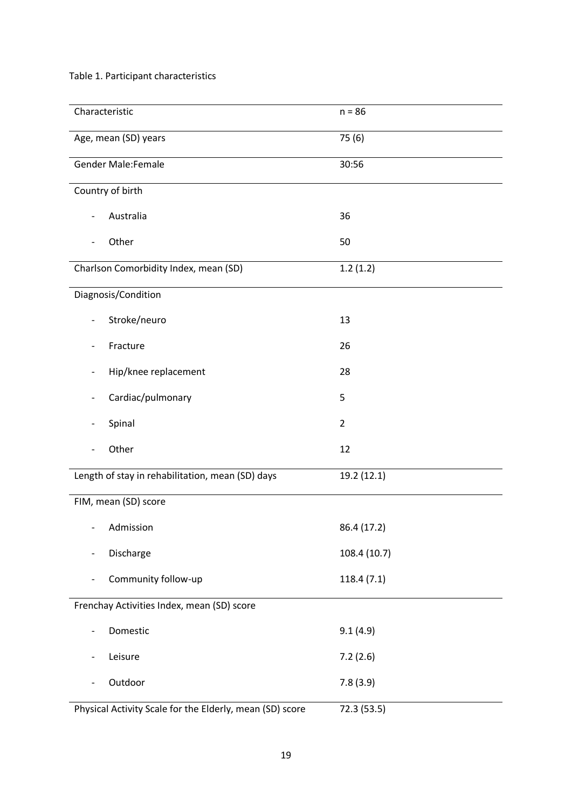# Table 1. Participant characteristics

| Characteristic                                           | $n = 86$       |  |  |  |  |
|----------------------------------------------------------|----------------|--|--|--|--|
| Age, mean (SD) years                                     | 75(6)          |  |  |  |  |
|                                                          |                |  |  |  |  |
| <b>Gender Male:Female</b>                                | 30:56          |  |  |  |  |
| Country of birth                                         |                |  |  |  |  |
| Australia<br>$\overline{a}$                              | 36             |  |  |  |  |
| Other                                                    | 50             |  |  |  |  |
| Charlson Comorbidity Index, mean (SD)                    | 1.2(1.2)       |  |  |  |  |
| Diagnosis/Condition                                      |                |  |  |  |  |
| Stroke/neuro<br>$\overline{\phantom{0}}$                 | 13             |  |  |  |  |
| Fracture<br>$\overline{a}$                               | 26             |  |  |  |  |
| Hip/knee replacement                                     | 28             |  |  |  |  |
| Cardiac/pulmonary                                        | 5              |  |  |  |  |
| Spinal                                                   | $\overline{2}$ |  |  |  |  |
| Other                                                    | 12             |  |  |  |  |
| Length of stay in rehabilitation, mean (SD) days         | 19.2 (12.1)    |  |  |  |  |
| FIM, mean (SD) score                                     |                |  |  |  |  |
| Admission                                                | 86.4 (17.2)    |  |  |  |  |
| Discharge                                                | 108.4 (10.7)   |  |  |  |  |
| Community follow-up                                      | 118.4(7.1)     |  |  |  |  |
| Frenchay Activities Index, mean (SD) score               |                |  |  |  |  |
| Domestic<br>$\overline{\phantom{0}}$                     | 9.1(4.9)       |  |  |  |  |
| Leisure                                                  | 7.2(2.6)       |  |  |  |  |
| Outdoor                                                  | 7.8(3.9)       |  |  |  |  |
| Physical Activity Scale for the Elderly, mean (SD) score | 72.3 (53.5)    |  |  |  |  |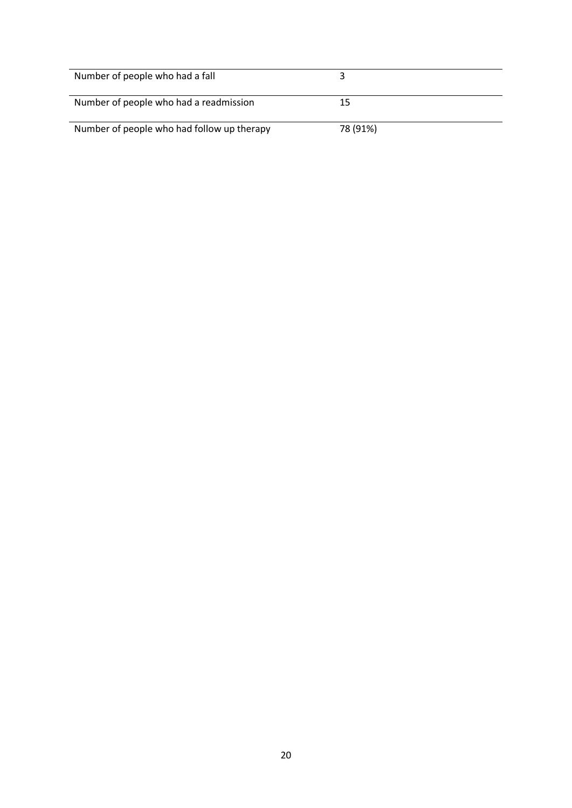| Number of people who had a fall            |          |
|--------------------------------------------|----------|
| Number of people who had a readmission     | 15       |
| Number of people who had follow up therapy | 78 (91%) |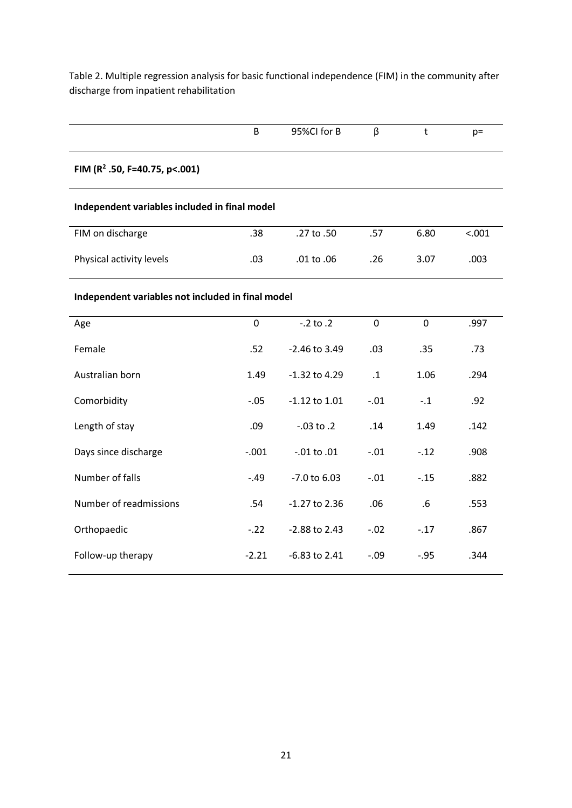Table 2. Multiple regression analysis for basic functional independence (FIM) in the community after discharge from inpatient rehabilitation

|                                                   | B           | 95%CI for B       | β         | t       | $p=$   |  |  |  |
|---------------------------------------------------|-------------|-------------------|-----------|---------|--------|--|--|--|
| FIM ( $R^2$ .50, F=40.75, p<.001)                 |             |                   |           |         |        |  |  |  |
| Independent variables included in final model     |             |                   |           |         |        |  |  |  |
| FIM on discharge                                  | .38         | .27 to .50        | .57       | 6.80    | < .001 |  |  |  |
| Physical activity levels                          | .03         | $.01$ to $.06$    | .26       | 3.07    | .003   |  |  |  |
| Independent variables not included in final model |             |                   |           |         |        |  |  |  |
| Age                                               | $\mathbf 0$ | $-.2$ to $.2$     | 0         | 0       | .997   |  |  |  |
| Female                                            | .52         | -2.46 to 3.49     | .03       | .35     | .73    |  |  |  |
| Australian born                                   | 1.49        | $-1.32$ to 4.29   | $\cdot$ 1 | 1.06    | .294   |  |  |  |
| Comorbidity                                       | $-.05$      | $-1.12$ to $1.01$ | $-.01$    | $-.1$   | .92    |  |  |  |
| Length of stay                                    | .09         | $-.03$ to $.2$    | .14       | 1.49    | .142   |  |  |  |
| Days since discharge                              | $-.001$     | $-.01$ to $.01$   | $-.01$    | $-.12$  | .908   |  |  |  |
| Number of falls                                   | $-.49$      | $-7.0$ to $6.03$  | $-.01$    | $-.15$  | .882   |  |  |  |
| Number of readmissions                            | .54         | $-1.27$ to 2.36   | .06       | .6      | .553   |  |  |  |
| Orthopaedic                                       | $-.22$      | -2.88 to 2.43     | $-.02$    | $-.17$  | .867   |  |  |  |
| Follow-up therapy                                 | $-2.21$     | -6.83 to 2.41     | $-.09$    | $-0.95$ | .344   |  |  |  |